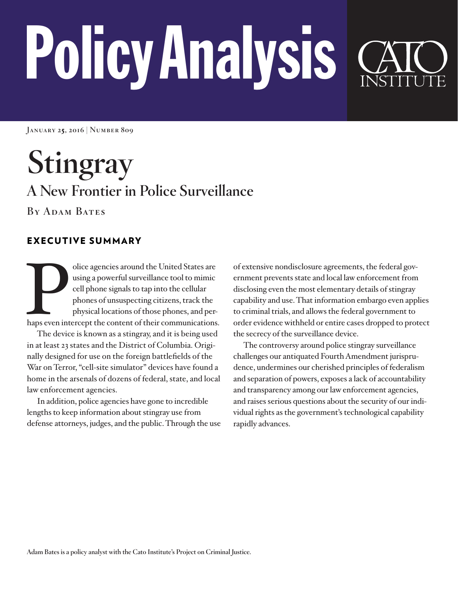# PolicyAnalysis

**January 25, 2016 | Number 809**

**Stingray A New Frontier in Police Surveillance**

**By Adam Bates**

# EXECUTIVE SUMMARY

olice agencies around the United States are using a powerful surveillance tool to mimic cell phone signals to tap into the cellular phones of unsuspecting citizens, track the physical locations of those phones, and perhaps using a powerful surveillance tool to mimic cell phone signals to tap into the cellular phones of unsuspecting citizens, track the physical locations of those phones, and per-

The device is known as a stingray, and it is being used in at least 23 states and the District of Columbia. Originally designed for use on the foreign battlefields of the War on Terror, "cell-site simulator" devices have found a home in the arsenals of dozens of federal, state, and local law enforcement agencies.

In addition, police agencies have gone to incredible lengths to keep information about stingray use from defense attorneys, judges, and the public. Through the use of extensive nondisclosure agreements, the federal government prevents state and local law enforcement from disclosing even the most elementary details of stingray capability and use. That information embargo even applies to criminal trials, and allows the federal government to order evidence withheld or entire cases dropped to protect the secrecy of the surveillance device.

The controversy around police stingray surveillance challenges our antiquated Fourth Amendment jurisprudence, undermines our cherished principles of federalism and separation of powers, exposes a lack of accountability and transparency among our law enforcement agencies, and raises serious questions about the security of our individual rights as the government's technological capability rapidly advances.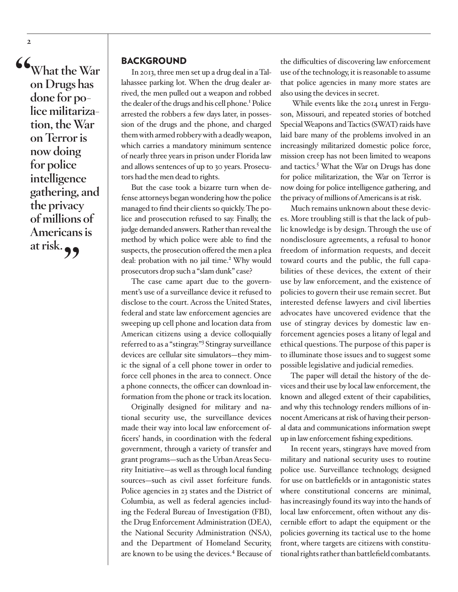**"What the War on Drugs has done for police militarization, the War on Terror is now doing for police intelligence gathering, and the privacy of millions of Americans is at risk."**

#### BACKGROUND

In 2013, three men set up a drug deal in a Tallahassee parking lot. When the drug dealer arrived, the men pulled out a weapon and robbed the dealer of the drugs and his cell phone.<sup>1</sup> Police arrested the robbers a few days later, in possession of the drugs and the phone, and charged them with armed robbery with a deadly weapon, which carries a mandatory minimum sentence of nearly three years in prison under Florida law and allows sentences of up to 30 years. Prosecutors had the men dead to rights.

But the case took a bizarre turn when defense attorneys began wondering how the police managed to find their clients so quickly. The police and prosecution refused to say. Finally, the judge demanded answers. Rather than reveal the method by which police were able to find the suspects, the prosecution offered the men a plea deal: probation with no jail time.<sup>2</sup> Why would prosecutors drop such a "slam dunk" case?

The case came apart due to the government's use of a surveillance device it refused to disclose to the court. Across the United States, federal and state law enforcement agencies are sweeping up cell phone and location data from American citizens using a device colloquially referred to as a "stingray."<sup>3</sup> Stingray surveillance devices are cellular site simulators—they mimic the signal of a cell phone tower in order to force cell phones in the area to connect. Once a phone connects, the officer can download information from the phone or track its location.

Originally designed for military and national security use, the surveillance devices made their way into local law enforcement officers' hands, in coordination with the federal government, through a variety of transfer and grant programs—such as the Urban Areas Security Initiative—as well as through local funding sources—such as civil asset forfeiture funds. Police agencies in 23 states and the District of Columbia, as well as federal agencies including the Federal Bureau of Investigation (FBI), the Drug Enforcement Administration (DEA), the National Security Administration (NSA), and the Department of Homeland Security, are known to be using the devices.<sup>4</sup> Because of the difficulties of discovering law enforcement use of the technology, it is reasonable to assume that police agencies in many more states are also using the devices in secret.

 While events like the 2014 unrest in Ferguson, Missouri, and repeated stories of botched Special Weapons and Tactics (SWAT) raids have laid bare many of the problems involved in an increasingly militarized domestic police force, mission creep has not been limited to weapons and tactics.<sup>5</sup> What the War on Drugs has done for police militarization, the War on Terror is now doing for police intelligence gathering, and the privacy of millions of Americans is at risk.

Much remains unknown about these devices. More troubling still is that the lack of public knowledge is by design. Through the use of nondisclosure agreements, a refusal to honor freedom of information requests, and deceit toward courts and the public, the full capabilities of these devices, the extent of their use by law enforcement, and the existence of policies to govern their use remain secret. But interested defense lawyers and civil liberties advocates have uncovered evidence that the use of stingray devices by domestic law enforcement agencies poses a litany of legal and ethical questions. The purpose of this paper is to illuminate those issues and to suggest some possible legislative and judicial remedies.

The paper will detail the history of the devices and their use by local law enforcement, the known and alleged extent of their capabilities, and why this technology renders millions of innocent Americans at risk of having their personal data and communications information swept up in law enforcement fishing expeditions.

In recent years, stingrays have moved from military and national security uses to routine police use. Surveillance technology, designed for use on battlefields or in antagonistic states where constitutional concerns are minimal, has increasingly found its way into the hands of local law enforcement, often without any discernible effort to adapt the equipment or the policies governing its tactical use to the home front, where targets are citizens with constitutional rights rather than battlefield combatants.

**2**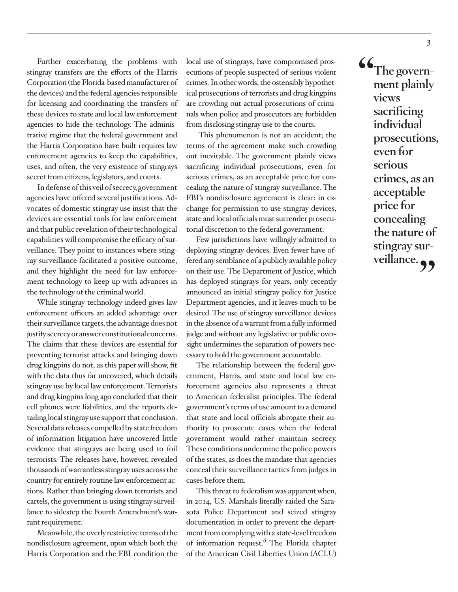Further exacerbating the problems with stingray transfers are the efforts of the Harris Corporation (the Florida-based manufacturer of the devices) and the federal agencies responsible for licensing and coordinating the transfers of these devices to state and local law enforcement agencies to hide the technology. The administrative regime that the federal government and the Harris Corporation have built requires law enforcement agencies to keep the capabilities, uses, and often, the very existence of stingrays secret from citizens, legislators, and courts.

In defense of this veil of secrecy, government agencies have offered several justifications. Advocates of domestic stingray use insist that the devices are essential tools for law enforcement and that public revelation of their technological capabilities will compromise the efficacy of surveillance. They point to instances where stingray surveillance facilitated a positive outcome, and they highlight the need for law enforcement technology to keep up with advances in the technology of the criminal world.

While stingray technology indeed gives law enforcement officers an added advantage over their surveillance targets, the advantage does not justify secrecy or answer constitutional concerns. The claims that these devices are essential for preventing terrorist attacks and bringing down drug kingpins do not, as this paper will show, fit with the data thus far uncovered, which details stingray use by local law enforcement. Terrorists and drug kingpins long ago concluded that their cell phones were liabilities, and the reports detailing local stingray use support that conclusion. Several data releases compelled by state freedom of information litigation have uncovered little evidence that stingrays are being used to foil terrorists. The releases have, however, revealed thousands of warrantless stingray uses across the country for entirely routine law enforcement actions. Rather than bringing down terrorists and cartels, the government is using stingray surveillance to sidestep the Fourth Amendment's warrant requirement.

Meanwhile, the overly restrictive terms of the nondisclosure agreement, upon which both the Harris Corporation and the FBI condition the local use of stingrays, have compromised prosecutions of people suspected of serious violent crimes. In other words, the ostensibly hypothetical prosecutions of terrorists and drug kingpins are crowding out actual prosecutions of criminals when police and prosecutors are forbidden from disclosing stingray use to the courts.

 This phenomenon is not an accident; the terms of the agreement make such crowding out inevitable. The government plainly views sacrificing individual prosecutions, even for serious crimes, as an acceptable price for concealing the nature of stingray surveillance. The FBI's nondisclosure agreement is clear: in exchange for permission to use stingray devices, state and local officials must surrender prosecutorial discretion to the federal government.

Few jurisdictions have willingly admitted to deploying stingray devices. Even fewer have offered any semblance of a publicly available policy on their use. The Department of Justice, which has deployed stingrays for years, only recently announced an initial stingray policy for Justice Department agencies, and it leaves much to be desired. The use of stingray surveillance devices in the absence of a warrant from a fully informed judge and without any legislative or public oversight undermines the separation of powers necessary to hold the government accountable.

The relationship between the federal government, Harris, and state and local law enforcement agencies also represents a threat to American federalist principles. The federal government's terms of use amount to a demand that state and local officials abrogate their authority to prosecute cases when the federal government would rather maintain secrecy. These conditions undermine the police powers of the states, as does the mandate that agencies conceal their surveillance tactics from judges in cases before them.

This threat to federalism was apparent when, in 2014, U.S. Marshals literally raided the Sarasota Police Department and seized stingray documentation in order to prevent the department from complying with a state-level freedom of information request.<sup>6</sup> The Florida chapter of the American Civil Liberties Union (ACLU)

**"The government plainly views sacrificing individual prosecutions, even for serious crimes, as an acceptable price for concealing the nature of stingray sur**veillance.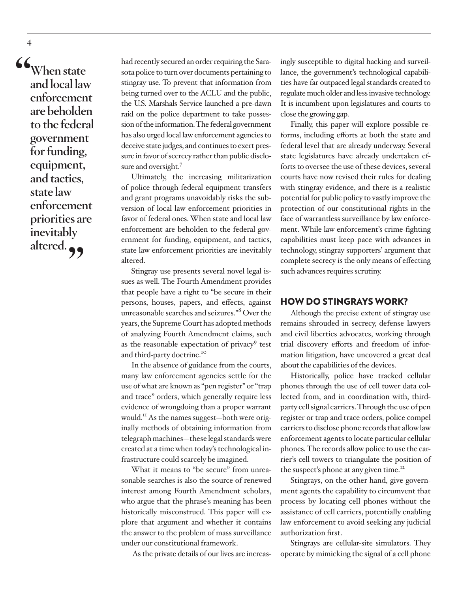**"When state and local law enforcement are beholden to the federal government for funding, equipment, and tactics, state law enforcement priorities are inevitably**  altered.<sup>99</sup>

had recently secured an order requiring the Sarasota police to turn over documents pertaining to stingray use. To prevent that information from being turned over to the ACLU and the public, the U.S. Marshals Service launched a pre-dawn raid on the police department to take possession of the information. The federal government has also urged local law enforcement agencies to deceive state judges, and continues to exert pressure in favor of secrecy rather than public disclosure and oversight.<sup>7</sup>

Ultimately, the increasing militarization of police through federal equipment transfers and grant programs unavoidably risks the subversion of local law enforcement priorities in favor of federal ones. When state and local law enforcement are beholden to the federal government for funding, equipment, and tactics, state law enforcement priorities are inevitably altered.

Stingray use presents several novel legal issues as well. The Fourth Amendment provides that people have a right to "be secure in their persons, houses, papers, and effects, against unreasonable searches and seizures."8 Over the years, the Supreme Court has adopted methods of analyzing Fourth Amendment claims, such as the reasonable expectation of privacy<sup>9</sup> test and third-party doctrine.<sup>10</sup>

In the absence of guidance from the courts, many law enforcement agencies settle for the use of what are known as "pen register" or "trap and trace" orders, which generally require less evidence of wrongdoing than a proper warrant would.11 As the names suggest—both were originally methods of obtaining information from telegraph machines—these legal standards were created at a time when today's technological infrastructure could scarcely be imagined.

What it means to "be secure" from unreasonable searches is also the source of renewed interest among Fourth Amendment scholars, who argue that the phrase's meaning has been historically misconstrued. This paper will explore that argument and whether it contains the answer to the problem of mass surveillance under our constitutional framework.

As the private details of our lives are increas-

ingly susceptible to digital hacking and surveillance, the government's technological capabilities have far outpaced legal standards created to regulate much older and less invasive technology. It is incumbent upon legislatures and courts to close the growing gap.

Finally, this paper will explore possible reforms, including efforts at both the state and federal level that are already underway. Several state legislatures have already undertaken efforts to oversee the use of these devices, several courts have now revised their rules for dealing with stingray evidence, and there is a realistic potential for public policy to vastly improve the protection of our constitutional rights in the face of warrantless surveillance by law enforcement. While law enforcement's crime-fighting capabilities must keep pace with advances in technology, stingray supporters' argument that complete secrecy is the only means of effecting such advances requires scrutiny.

## HOW DO STINGRAYS WORK?

Although the precise extent of stingray use remains shrouded in secrecy, defense lawyers and civil liberties advocates, working through trial discovery efforts and freedom of information litigation, have uncovered a great deal about the capabilities of the devices.

Historically, police have tracked cellular phones through the use of cell tower data collected from, and in coordination with, thirdparty cell signal carriers. Through the use of pen register or trap and trace orders, police compel carriers to disclose phone records that allow law enforcement agents to locate particular cellular phones. The records allow police to use the carrier's cell towers to triangulate the position of the suspect's phone at any given time.<sup>12</sup>

Stingrays, on the other hand, give government agents the capability to circumvent that process by locating cell phones without the assistance of cell carriers, potentially enabling law enforcement to avoid seeking any judicial authorization first.

Stingrays are cellular-site simulators. They operate by mimicking the signal of a cell phone

**4**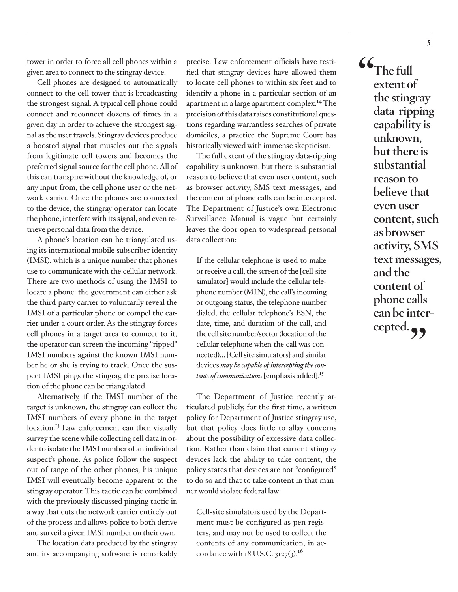tower in order to force all cell phones within a given area to connect to the stingray device.

Cell phones are designed to automatically connect to the cell tower that is broadcasting the strongest signal. A typical cell phone could connect and reconnect dozens of times in a given day in order to achieve the strongest signal as the user travels. Stingray devices produce a boosted signal that muscles out the signals from legitimate cell towers and becomes the preferred signal source for the cell phone. All of this can transpire without the knowledge of, or any input from, the cell phone user or the network carrier. Once the phones are connected to the device, the stingray operator can locate the phone, interfere with its signal, and even retrieve personal data from the device.

A phone's location can be triangulated using its international mobile subscriber identity (IMSI), which is a unique number that phones use to communicate with the cellular network. There are two methods of using the IMSI to locate a phone: the government can either ask the third-party carrier to voluntarily reveal the IMSI of a particular phone or compel the carrier under a court order. As the stingray forces cell phones in a target area to connect to it, the operator can screen the incoming "ripped" IMSI numbers against the known IMSI number he or she is trying to track. Once the suspect IMSI pings the stingray, the precise location of the phone can be triangulated.

Alternatively, if the IMSI number of the target is unknown, the stingray can collect the IMSI numbers of every phone in the target location.<sup>13</sup> Law enforcement can then visually survey the scene while collecting cell data in order to isolate the IMSI number of an individual suspect's phone. As police follow the suspect out of range of the other phones, his unique IMSI will eventually become apparent to the stingray operator. This tactic can be combined with the previously discussed pinging tactic in a way that cuts the network carrier entirely out of the process and allows police to both derive and surveil a given IMSI number on their own.

The location data produced by the stingray and its accompanying software is remarkably precise. Law enforcement officials have testified that stingray devices have allowed them to locate cell phones to within six feet and to identify a phone in a particular section of an apartment in a large apartment complex.14 The precision of this data raises constitutional questions regarding warrantless searches of private domiciles, a practice the Supreme Court has historically viewed with immense skepticism.

The full extent of the stingray data-ripping capability is unknown, but there is substantial reason to believe that even user content, such as browser activity, SMS text messages, and the content of phone calls can be intercepted. The Department of Justice's own Electronic Surveillance Manual is vague but certainly leaves the door open to widespread personal data collection:

If the cellular telephone is used to make or receive a call, the screen of the [cell-site simulator] would include the cellular telephone number (MIN), the call's incoming or outgoing status, the telephone number dialed, the cellular telephone's ESN, the date, time, and duration of the call, and the cell site number/sector (location of the cellular telephone when the call was connected)… [Cell site simulators] and similar devices *may be capable of intercepting the contents of communications* [emphasis added]*.* 15

The Department of Justice recently articulated publicly, for the first time, a written policy for Department of Justice stingray use, but that policy does little to allay concerns about the possibility of excessive data collection. Rather than claim that current stingray devices lack the ability to take content, the policy states that devices are not "configured" to do so and that to take content in that manner would violate federal law:

Cell-site simulators used by the Department must be configured as pen registers, and may not be used to collect the contents of any communication, in accordance with 18 U.S.C.  $3127(3)$ .<sup>16</sup>

**"The full extent of the stingray data-ripping capability is unknown, but there is substantial reason to believe that even user content, such as browser activity, SMS text messages, and the content of phone calls can be intercepted."**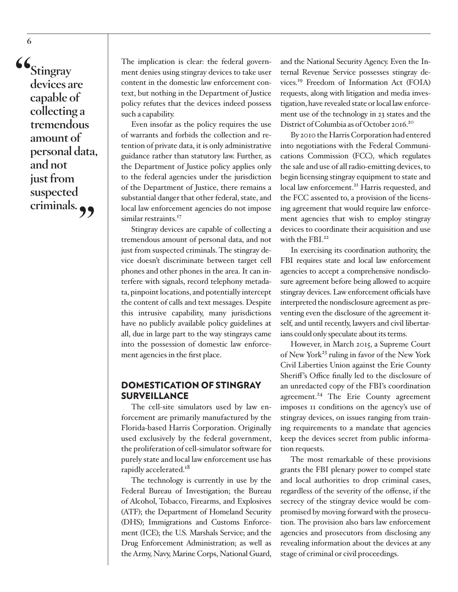**"Stingray devices are capable of collecting a tremendous amount of personal data, and not just from suspected criminals."**

**6**

The implication is clear: the federal government denies using stingray devices to take user content in the domestic law enforcement context, but nothing in the Department of Justice policy refutes that the devices indeed possess such a capability.

Even insofar as the policy requires the use of warrants and forbids the collection and retention of private data, it is only administrative guidance rather than statutory law. Further, as the Department of Justice policy applies only to the federal agencies under the jurisdiction of the Department of Justice, there remains a substantial danger that other federal, state, and local law enforcement agencies do not impose similar restraints.<sup>17</sup>

Stingray devices are capable of collecting a tremendous amount of personal data, and not just from suspected criminals. The stingray device doesn't discriminate between target cell phones and other phones in the area. It can interfere with signals, record telephony metadata, pinpoint locations, and potentially intercept the content of calls and text messages. Despite this intrusive capability, many jurisdictions have no publicly available policy guidelines at all, due in large part to the way stingrays came into the possession of domestic law enforcement agencies in the first place.

# DOMESTICATION OF STINGRAY SURVEILLANCE

The cell-site simulators used by law enforcement are primarily manufactured by the Florida-based Harris Corporation. Originally used exclusively by the federal government, the proliferation of cell-simulator software for purely state and local law enforcement use has rapidly accelerated.<sup>18</sup>

The technology is currently in use by the Federal Bureau of Investigation; the Bureau of Alcohol, Tobacco, Firearms, and Explosives (ATF); the Department of Homeland Security (DHS); Immigrations and Customs Enforcement (ICE); the U.S. Marshals Service; and the Drug Enforcement Administration; as well as the Army, Navy, Marine Corps, National Guard,

and the National Security Agency. Even the Internal Revenue Service possesses stingray devices.19 Freedom of Information Act (FOIA) requests, along with litigation and media investigation, have revealed state or local law enforcement use of the technology in 23 states and the District of Columbia as of October 2016.<sup>20</sup>

By 2010 the Harris Corporation had entered into negotiations with the Federal Communications Commission (FCC), which regulates the sale and use of all radio-emitting devices, to begin licensing stingray equipment to state and local law enforcement.<sup>21</sup> Harris requested, and the FCC assented to, a provision of the licensing agreement that would require law enforcement agencies that wish to employ stingray devices to coordinate their acquisition and use with the FBI $^{22}$ 

In exercising its coordination authority, the FBI requires state and local law enforcement agencies to accept a comprehensive nondisclosure agreement before being allowed to acquire stingray devices. Law enforcement officials have interpreted the nondisclosure agreement as preventing even the disclosure of the agreement itself, and until recently, lawyers and civil libertarians could only speculate about its terms.

However, in March 2015, a Supreme Court of New York<sup>23</sup> ruling in favor of the New York Civil Liberties Union against the Erie County Sheriff's Office finally led to the disclosure of an unredacted copy of the FBI's coordination agreement.<sup>24</sup> The Erie County agreement imposes 11 conditions on the agency's use of stingray devices, on issues ranging from training requirements to a mandate that agencies keep the devices secret from public information requests.

The most remarkable of these provisions grants the FBI plenary power to compel state and local authorities to drop criminal cases, regardless of the severity of the offense, if the secrecy of the stingray device would be compromised by moving forward with the prosecution. The provision also bars law enforcement agencies and prosecutors from disclosing any revealing information about the devices at any stage of criminal or civil proceedings.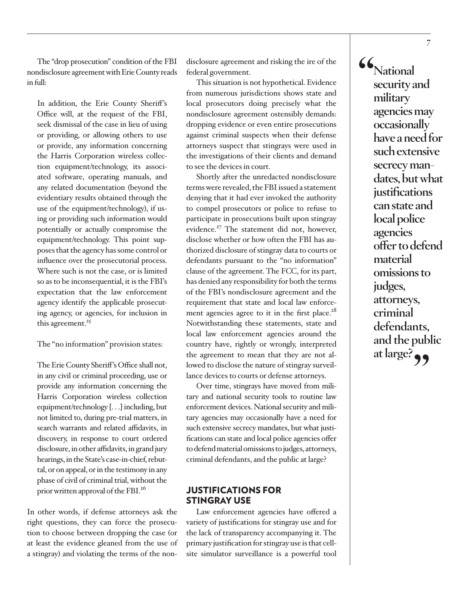The "drop prosecution" condition of the FBI nondisclosure agreement with Erie County reads in full:

In addition, the Erie County Sheriff's Office will, at the request of the FBI, seek dismissal of the case in lieu of using or providing, or allowing others to use or provide, any information concerning the Harris Corporation wireless collection equipment/technology, its associated software, operating manuals, and any related documentation (beyond the evidentiary results obtained through the use of the equipment/technology), if using or providing such information would potentially or actually compromise the equipment/technology. This point supposes that the agency has some control or influence over the prosecutorial process. Where such is not the case, or is limited so as to be inconsequential, it is the FBI's expectation that the law enforcement agency identify the applicable prosecuting agency, or agencies, for inclusion in this agreement.<sup>25</sup>

#### The "no information" provision states:

The Erie County Sheriff's Office shall not, in any civil or criminal proceeding, use or provide any information concerning the Harris Corporation wireless collection equipment/technology [. . .] including, but not limited to, during pre-trial matters, in search warrants and related affidavits, in discovery, in response to court ordered disclosure, in other affidavits, in grand jury hearings, in the State's case-in-chief, rebuttal, or on appeal, or in the testimony in any phase of civil of criminal trial, without the prior written approval of the FBI.26

In other words, if defense attorneys ask the right questions, they can force the prosecution to choose between dropping the case (or at least the evidence gleaned from the use of a stingray) and violating the terms of the nondisclosure agreement and risking the ire of the federal government.

This situation is not hypothetical. Evidence from numerous jurisdictions shows state and local prosecutors doing precisely what the nondisclosure agreement ostensibly demands: dropping evidence or even entire prosecutions against criminal suspects when their defense attorneys suspect that stingrays were used in the investigations of their clients and demand to see the devices in court.

Shortly after the unredacted nondisclosure terms were revealed, the FBI issued a statement denying that it had ever invoked the authority to compel prosecutors or police to refuse to participate in prosecutions built upon stingray evidence.<sup>27</sup> The statement did not, however, disclose whether or how often the FBI has authorized disclosure of stingray data to courts or defendants pursuant to the "no information" clause of the agreement. The FCC, for its part, has denied any responsibility for both the terms of the FBI's nondisclosure agreement and the requirement that state and local law enforcement agencies agree to it in the first place.<sup>28</sup> Notwithstanding these statements, state and local law enforcement agencies around the country have, rightly or wrongly, interpreted the agreement to mean that they are not allowed to disclose the nature of stingray surveillance devices to courts or defense attorneys.

Over time, stingrays have moved from military and national security tools to routine law enforcement devices. National security and military agencies may occasionally have a need for such extensive secrecy mandates, but what justifications can state and local police agencies offer to defend material omissions to judges, attorneys, criminal defendants, and the public at large?

# JUSTIFICATIONS FOR STINGRAY USE

Law enforcement agencies have offered a variety of justifications for stingray use and for the lack of transparency accompanying it. The primary justification for stingray use is that cellsite simulator surveillance is a powerful tool

**"National security and military agencies may occasionally have a need for such extensive secrecy mandates, but what justifications can state and local police agencies offer to defend material omissions to judges, attorneys, criminal defendants, and the public at large?"**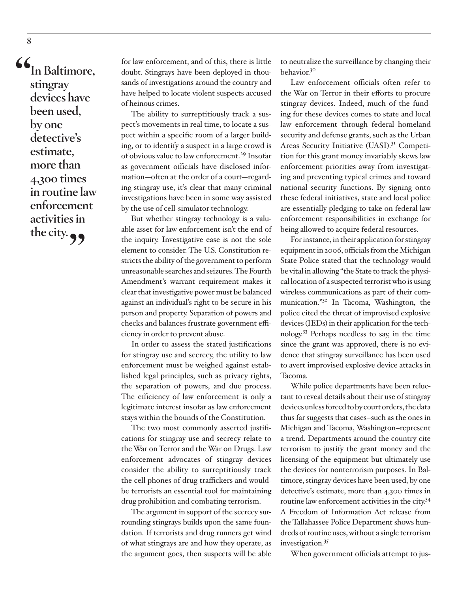**"In Baltimore, stingray devices have been used, by one detective's estimate, more than 4,300 times in routine law enforcement activities in the city."**

for law enforcement, and of this, there is little doubt. Stingrays have been deployed in thousands of investigations around the country and have helped to locate violent suspects accused of heinous crimes.

The ability to surreptitiously track a suspect's movements in real time, to locate a suspect within a specific room of a larger building, or to identify a suspect in a large crowd is of obvious value to law enforcement.<sup>29</sup> Insofar as government officials have disclosed information—often at the order of a court—regarding stingray use, it's clear that many criminal investigations have been in some way assisted by the use of cell-simulator technology.

But whether stingray technology is a valuable asset for law enforcement isn't the end of the inquiry. Investigative ease is not the sole element to consider. The U.S. Constitution restricts the ability of the government to perform unreasonable searches and seizures. The Fourth Amendment's warrant requirement makes it clear that investigative power must be balanced against an individual's right to be secure in his person and property. Separation of powers and checks and balances frustrate government efficiency in order to prevent abuse.

In order to assess the stated justifications for stingray use and secrecy, the utility to law enforcement must be weighed against established legal principles, such as privacy rights, the separation of powers, and due process. The efficiency of law enforcement is only a legitimate interest insofar as law enforcement stays within the bounds of the Constitution.

The two most commonly asserted justifications for stingray use and secrecy relate to the War on Terror and the War on Drugs. Law enforcement advocates of stingray devices consider the ability to surreptitiously track the cell phones of drug traffickers and wouldbe terrorists an essential tool for maintaining drug prohibition and combating terrorism.

The argument in support of the secrecy surrounding stingrays builds upon the same foundation. If terrorists and drug runners get wind of what stingrays are and how they operate, as the argument goes, then suspects will be able

to neutralize the surveillance by changing their behavior.30

Law enforcement officials often refer to the War on Terror in their efforts to procure stingray devices. Indeed, much of the funding for these devices comes to state and local law enforcement through federal homeland security and defense grants, such as the Urban Areas Security Initiative (UASI).<sup>31</sup> Competition for this grant money invariably skews law enforcement priorities away from investigating and preventing typical crimes and toward national security functions. By signing onto these federal initiatives, state and local police are essentially pledging to take on federal law enforcement responsibilities in exchange for being allowed to acquire federal resources.

For instance, in their application for stingray equipment in 2006, officials from the Michigan State Police stated that the technology would be vital in allowing "the State to track the physical location of a suspected terrorist who is using wireless communications as part of their communication."32 In Tacoma, Washington, the police cited the threat of improvised explosive devices (IEDs) in their application for the technology.33 Perhaps needless to say, in the time since the grant was approved, there is no evidence that stingray surveillance has been used to avert improvised explosive device attacks in Tacoma.

While police departments have been reluctant to reveal details about their use of stingray devices unless forced to by court orders, the data thus far suggests that cases–such as the ones in Michigan and Tacoma, Washington–represent a trend. Departments around the country cite terrorism to justify the grant money and the licensing of the equipment but ultimately use the devices for nonterrorism purposes. In Baltimore, stingray devices have been used, by one detective's estimate, more than 4,300 times in routine law enforcement activities in the city.<sup>34</sup> A Freedom of Information Act release from the Tallahassee Police Department shows hundreds of routine uses, without a single terrorism investigation.<sup>35</sup>

When government officials attempt to jus-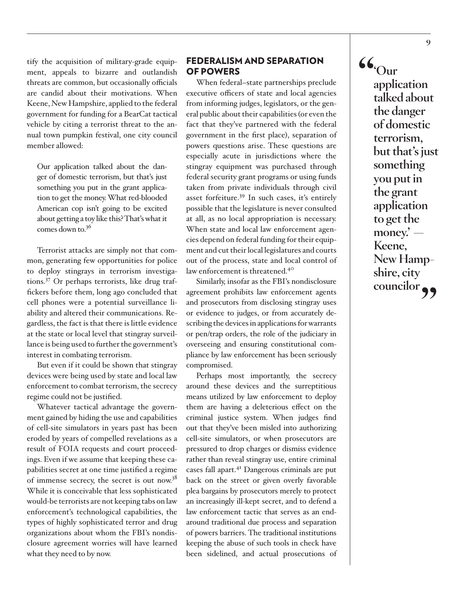tify the acquisition of military-grade equipment, appeals to bizarre and outlandish threats are common, but occasionally officials are candid about their motivations. When Keene, New Hampshire, applied to the federal government for funding for a BearCat tactical vehicle by citing a terrorist threat to the annual town pumpkin festival, one city council member allowed:

Our application talked about the danger of domestic terrorism, but that's just something you put in the grant application to get the money. What red-blooded American cop isn't going to be excited about getting a toy like this? That's what it comes down to.36

Terrorist attacks are simply not that common, generating few opportunities for police to deploy stingrays in terrorism investigations.37 Or perhaps terrorists, like drug traffickers before them, long ago concluded that cell phones were a potential surveillance liability and altered their communications. Regardless, the fact is that there is little evidence at the state or local level that stingray surveillance is being used to further the government's interest in combating terrorism.

But even if it could be shown that stingray devices were being used by state and local law enforcement to combat terrorism, the secrecy regime could not be justified.

Whatever tactical advantage the government gained by hiding the use and capabilities of cell-site simulators in years past has been eroded by years of compelled revelations as a result of FOIA requests and court proceedings. Even if we assume that keeping these capabilities secret at one time justified a regime of immense secrecy, the secret is out now.38 While it is conceivable that less sophisticated would-be terrorists are not keeping tabs on law enforcement's technological capabilities, the types of highly sophisticated terror and drug organizations about whom the FBI's nondisclosure agreement worries will have learned what they need to by now.

## FEDERALISM AND SEPARATION OF POWERS

When federal–state partnerships preclude executive officers of state and local agencies from informing judges, legislators, or the general public about their capabilities (or even the fact that they've partnered with the federal government in the first place), separation of powers questions arise. These questions are especially acute in jurisdictions where the stingray equipment was purchased through federal security grant programs or using funds taken from private individuals through civil asset forfeiture.39 In such cases, it's entirely possible that the legislature is never consulted at all, as no local appropriation is necessary. When state and local law enforcement agencies depend on federal funding for their equipment and cut their local legislatures and courts out of the process, state and local control of law enforcement is threatened.<sup>40</sup>

Similarly, insofar as the FBI's nondisclosure agreement prohibits law enforcement agents and prosecutors from disclosing stingray uses or evidence to judges, or from accurately describing the devices in applications for warrants or pen/trap orders, the role of the judiciary in overseeing and ensuring constitutional compliance by law enforcement has been seriously compromised.

Perhaps most importantly, the secrecy around these devices and the surreptitious means utilized by law enforcement to deploy them are having a deleterious effect on the criminal justice system. When judges find out that they've been misled into authorizing cell-site simulators, or when prosecutors are pressured to drop charges or dismiss evidence rather than reveal stingray use, entire criminal cases fall apart.<sup>41</sup> Dangerous criminals are put back on the street or given overly favorable plea bargains by prosecutors merely to protect an increasingly ill-kept secret, and to defend a law enforcement tactic that serves as an endaround traditional due process and separation of powers barriers. The traditional institutions keeping the abuse of such tools in check have been sidelined, and actual prosecutions of **"'Our application talked about the danger of domestic terrorism, but that's just something you put in the grant application to get the money.' — Keene, New Hampshire, city councilor"**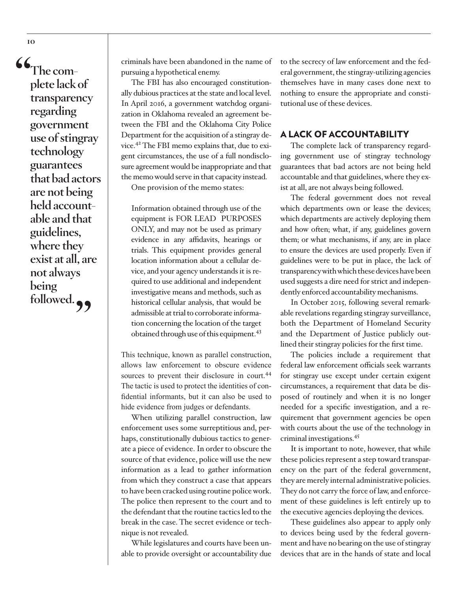**"The complete lack of transparency regarding government use of stingray technology guarantees that bad actors are not being held accountable and that guidelines, where they exist at all, are not always being**  followed.<sub>??</sub>

criminals have been abandoned in the name of pursuing a hypothetical enemy.

The FBI has also encouraged constitutionally dubious practices at the state and local level. In April 2016, a government watchdog organization in Oklahoma revealed an agreement between the FBI and the Oklahoma City Police Department for the acquisition of a stingray device.42 The FBI memo explains that, due to exigent circumstances, the use of a full nondisclosure agreement would be inappropriate and that the memo would serve in that capacity instead.

One provision of the memo states:

Information obtained through use of the equipment is FOR LEAD PURPOSES ONLY, and may not be used as primary evidence in any affidavits, hearings or trials. This equipment provides general location information about a cellular device, and your agency understands it is required to use additional and independent investigative means and methods, such as historical cellular analysis, that would be admissible at trial to corroborate information concerning the location of the target obtained through use of this equipment.<sup>43</sup>

This technique, known as parallel construction, allows law enforcement to obscure evidence sources to prevent their disclosure in court.<sup>44</sup> The tactic is used to protect the identities of confidential informants, but it can also be used to hide evidence from judges or defendants.

When utilizing parallel construction, law enforcement uses some surreptitious and, perhaps, constitutionally dubious tactics to generate a piece of evidence. In order to obscure the source of that evidence, police will use the new information as a lead to gather information from which they construct a case that appears to have been cracked using routine police work. The police then represent to the court and to the defendant that the routine tactics led to the break in the case. The secret evidence or technique is not revealed.

While legislatures and courts have been unable to provide oversight or accountability due to the secrecy of law enforcement and the federal government, the stingray-utilizing agencies themselves have in many cases done next to nothing to ensure the appropriate and constitutional use of these devices.

## A LACK OF ACCOUNTABILITY

The complete lack of transparency regarding government use of stingray technology guarantees that bad actors are not being held accountable and that guidelines, where they exist at all, are not always being followed.

The federal government does not reveal which departments own or lease the devices; which departments are actively deploying them and how often; what, if any, guidelines govern them; or what mechanisms, if any, are in place to ensure the devices are used properly. Even if guidelines were to be put in place, the lack of transparency with which these devices have been used suggests a dire need for strict and independently enforced accountability mechanisms.

In October 2015, following several remarkable revelations regarding stingray surveillance, both the Department of Homeland Security and the Department of Justice publicly outlined their stingray policies for the first time.

The policies include a requirement that federal law enforcement officials seek warrants for stingray use except under certain exigent circumstances, a requirement that data be disposed of routinely and when it is no longer needed for a specific investigation, and a requirement that government agencies be open with courts about the use of the technology in criminal investigations.45

It is important to note, however, that while these policies represent a step toward transparency on the part of the federal government, they are merely internal administrative policies. They do not carry the force of law, and enforcement of these guidelines is left entirely up to the executive agencies deploying the devices.

These guidelines also appear to apply only to devices being used by the federal government and have no bearing on the use of stingray devices that are in the hands of state and local

**10**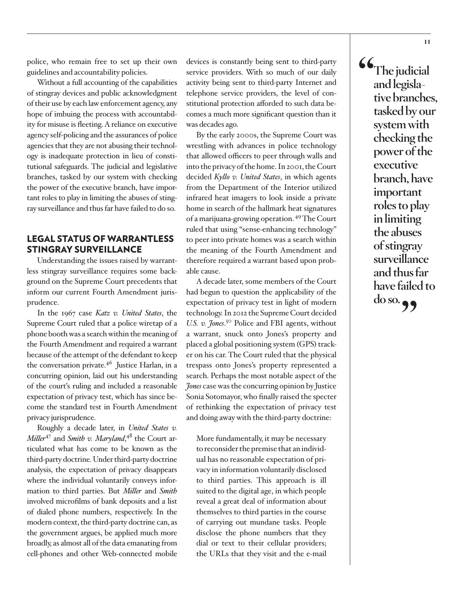police, who remain free to set up their own guidelines and accountability policies.

Without a full accounting of the capabilities of stingray devices and public acknowledgment of their use by each law enforcement agency, any hope of imbuing the process with accountability for misuse is fleeting. A reliance on executive agency self-policing and the assurances of police agencies that they are not abusing their technology is inadequate protection in lieu of constitutional safeguards. The judicial and legislative branches, tasked by our system with checking the power of the executive branch, have important roles to play in limiting the abuses of stingray surveillance and thus far have failed to do so.

# LEGAL STATUS OF WARRANTLESS STINGRAY SURVEILLANCE

Understanding the issues raised by warrantless stingray surveillance requires some background on the Supreme Court precedents that inform our current Fourth Amendment jurisprudence.

In the 1967 case *Katz v. United States*, the Supreme Court ruled that a police wiretap of a phone booth was a search within the meaning of the Fourth Amendment and required a warrant because of the attempt of the defendant to keep the conversation private.<sup>46</sup> Justice Harlan, in a concurring opinion, laid out his understanding of the court's ruling and included a reasonable expectation of privacy test, which has since become the standard test in Fourth Amendment privacy jurisprudence.

Roughly a decade later, in *United States v. Miller*47 and *Smith v. Maryland*, 48 the Court articulated what has come to be known as the third-party doctrine. Under third-party doctrine analysis, the expectation of privacy disappears where the individual voluntarily conveys information to third parties. But *Miller* and *Smith*  involved microfilms of bank deposits and a list of dialed phone numbers, respectively. In the modern context, the third-party doctrine can, as the government argues, be applied much more broadly, as almost all of the data emanating from cell-phones and other Web-connected mobile

devices is constantly being sent to third-party service providers. With so much of our daily activity being sent to third-party Internet and telephone service providers, the level of constitutional protection afforded to such data becomes a much more significant question than it was decades ago.

By the early 2000s, the Supreme Court was wrestling with advances in police technology that allowed officers to peer through walls and into the privacy of the home. In 2001, the Court decided *Kyllo v. United States*, in which agents from the Department of the Interior utilized infrared heat imagers to look inside a private home in search of the hallmark heat signatures of a marijuana-growing operation.49 The Court ruled that using "sense-enhancing technology" to peer into private homes was a search within the meaning of the Fourth Amendment and therefore required a warrant based upon probable cause.

A decade later, some members of the Court had begun to question the applicability of the expectation of privacy test in light of modern technology. In 2012 the Supreme Court decided U.S. v. Jones.<sup>50</sup> Police and FBI agents, without a warrant, snuck onto Jones's property and placed a global positioning system (GPS) tracker on his car. The Court ruled that the physical trespass onto Jones's property represented a search. Perhaps the most notable aspect of the *Jones* case was the concurring opinion by Justice Sonia Sotomayor, who finally raised the specter of rethinking the expectation of privacy test and doing away with the third-party doctrine:

More fundamentally, it may be necessary to reconsider the premise that an individual has no reasonable expectation of privacy in information voluntarily disclosed to third parties. This approach is ill suited to the digital age, in which people reveal a great deal of information about themselves to third parties in the course of carrying out mundane tasks. People disclose the phone numbers that they dial or text to their cellular providers; the URLs that they visit and the e-mail

**"The judicial and legislative branches, tasked by our system with checking the power of the executive branch, have important roles to play in limiting the abuses of stingray surveillance and thus far have failed to do so."**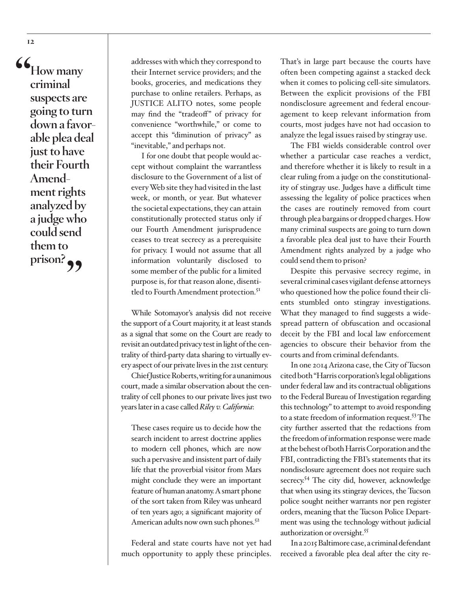**"How many criminal suspects are going to turn down a favorable plea deal just to have their Fourth Amendment rights analyzed by a judge who could send them to**  prison?

addresses with which they correspond to their Internet service providers; and the books, groceries, and medications they purchase to online retailers. Perhaps, as JUSTICE ALITO notes, some people may find the "tradeoff" of privacy for convenience "worthwhile," or come to accept this "diminution of privacy" as "inevitable," and perhaps not.

I for one doubt that people would accept without complaint the warrantless disclosure to the Government of a list of every Web site they had visited in the last week, or month, or year. But whatever the societal expectations, they can attain constitutionally protected status only if our Fourth Amendment jurisprudence ceases to treat secrecy as a prerequisite for privacy. I would not assume that all information voluntarily disclosed to some member of the public for a limited purpose is, for that reason alone, disentitled to Fourth Amendment protection.<sup>51</sup>

While Sotomayor's analysis did not receive the support of a Court majority, it at least stands as a signal that some on the Court are ready to revisit an outdated privacy test in light of the centrality of third-party data sharing to virtually every aspect of our private lives in the 21st century.

Chief Justice Roberts, writing for a unanimous court, made a similar observation about the centrality of cell phones to our private lives just two years later in a case called *Riley v. California*:

These cases require us to decide how the search incident to arrest doctrine applies to modern cell phones, which are now such a pervasive and insistent part of daily life that the proverbial visitor from Mars might conclude they were an important feature of human anatomy. A smart phone of the sort taken from Riley was unheard of ten years ago; a significant majority of American adults now own such phones. $5<sup>2</sup>$ 

Federal and state courts have not yet had much opportunity to apply these principles.

That's in large part because the courts have often been competing against a stacked deck when it comes to policing cell-site simulators. Between the explicit provisions of the FBI nondisclosure agreement and federal encouragement to keep relevant information from courts, most judges have not had occasion to analyze the legal issues raised by stingray use.

The FBI wields considerable control over whether a particular case reaches a verdict, and therefore whether it is likely to result in a clear ruling from a judge on the constitutionality of stingray use. Judges have a difficult time assessing the legality of police practices when the cases are routinely removed from court through plea bargains or dropped charges. How many criminal suspects are going to turn down a favorable plea deal just to have their Fourth Amendment rights analyzed by a judge who could send them to prison?

Despite this pervasive secrecy regime, in several criminal cases vigilant defense attorneys who questioned how the police found their clients stumbled onto stingray investigations. What they managed to find suggests a widespread pattern of obfuscation and occasional deceit by the FBI and local law enforcement agencies to obscure their behavior from the courts and from criminal defendants.

In one 2014 Arizona case, the City of Tucson cited both "Harris corporation's legal obligations under federal law and its contractual obligations to the Federal Bureau of Investigation regarding this technology" to attempt to avoid responding to a state freedom of information request.53 The city further asserted that the redactions from the freedom of information response were made at the behest of both Harris Corporation and the FBI, contradicting the FBI's statements that its nondisclosure agreement does not require such secrecy.<sup>54</sup> The city did, however, acknowledge that when using its stingray devices, the Tucson police sought neither warrants nor pen register orders, meaning that the Tucson Police Department was using the technology without judicial authorization or oversight.55

In a 2015 Baltimore case, a criminal defendant received a favorable plea deal after the city re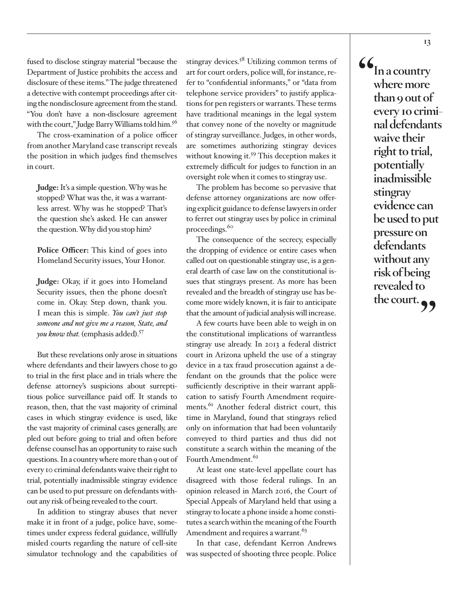fused to disclose stingray material "because the Department of Justice prohibits the access and disclosure of these items." The judge threatened a detective with contempt proceedings after citing the nondisclosure agreement from the stand. "You don't have a non-disclosure agreement with the court," Judge Barry Williams told him.<sup>56</sup>

The cross-examination of a police officer from another Maryland case transcript reveals the position in which judges find themselves in court.

**Judge:** It's a simple question. Why was he stopped? What was the, it was a warrantless arrest. Why was he stopped? That's the question she's asked. He can answer the question. Why did you stop him?

**Police Officer:** This kind of goes into Homeland Security issues, Your Honor.

**Judge:** Okay, if it goes into Homeland Security issues, then the phone doesn't come in. Okay. Step down, thank you. I mean this is simple. *You can't just stop someone and not give me a reason, State, and you know that.* (emphasis added).57

But these revelations only arose in situations where defendants and their lawyers chose to go to trial in the first place and in trials where the defense attorney's suspicions about surreptitious police surveillance paid off. It stands to reason, then, that the vast majority of criminal cases in which stingray evidence is used, like the vast majority of criminal cases generally, are pled out before going to trial and often before defense counsel has an opportunity to raise such questions. In a country where more than 9 out of every 10 criminal defendants waive their right to trial, potentially inadmissible stingray evidence can be used to put pressure on defendants without any risk of being revealed to the court.

In addition to stingray abuses that never make it in front of a judge, police have, sometimes under express federal guidance, willfully misled courts regarding the nature of cell-site simulator technology and the capabilities of stingray devices. $5^8$  Utilizing common terms of art for court orders, police will, for instance, refer to "confidential informants," or "data from telephone service providers" to justify applications for pen registers or warrants. These terms have traditional meanings in the legal system that convey none of the novelty or magnitude of stingray surveillance. Judges, in other words, are sometimes authorizing stingray devices without knowing it.<sup>59</sup> This deception makes it extremely difficult for judges to function in an oversight role when it comes to stingray use.

The problem has become so pervasive that defense attorney organizations are now offering explicit guidance to defense lawyers in order to ferret out stingray uses by police in criminal proceedings.<sup>60</sup>

The consequence of the secrecy, especially the dropping of evidence or entire cases when called out on questionable stingray use, is a general dearth of case law on the constitutional issues that stingrays present. As more has been revealed and the breadth of stingray use has become more widely known, it is fair to anticipate that the amount of judicial analysis will increase.

A few courts have been able to weigh in on the constitutional implications of warrantless stingray use already. In 2013 a federal district court in Arizona upheld the use of a stingray device in a tax fraud prosecution against a defendant on the grounds that the police were sufficiently descriptive in their warrant application to satisfy Fourth Amendment requirements.<sup>61</sup> Another federal district court, this time in Maryland, found that stingrays relied only on information that had been voluntarily conveyed to third parties and thus did not constitute a search within the meaning of the Fourth Amendment.<sup>62</sup>

At least one state-level appellate court has disagreed with those federal rulings. In an opinion released in March 2016, the Court of Special Appeals of Maryland held that using a stingray to locate a phone inside a home constitutes a search within the meaning of the Fourth Amendment and requires a warrant.<sup>63</sup>

In that case, defendant Kerron Andrews was suspected of shooting three people. Police **"In a country where more than 9 out of every 10 criminal defendants waive their right to trial, potentially inadmissible stingray evidence can be used to put pressure on defendants without any risk of being revealed to the court."**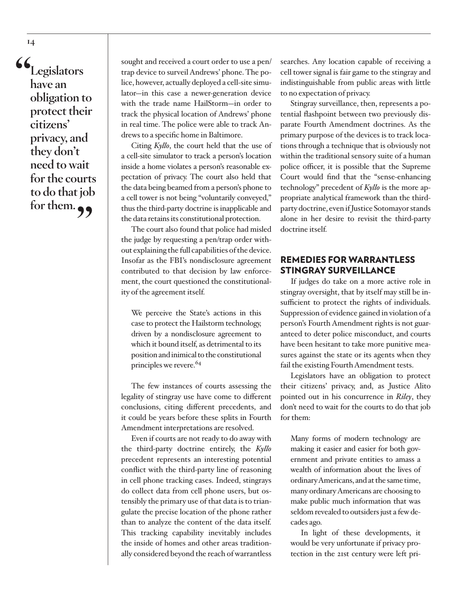**"Legislators have an obligation to protect their citizens' privacy, and they don't need to wait for the courts to do that job**  for them.  $\rightarrow$ 

sought and received a court order to use a pen/ trap device to surveil Andrews' phone. The police, however, actually deployed a cell-site simulator—in this case a newer-generation device with the trade name HailStorm—in order to track the physical location of Andrews' phone in real time. The police were able to track Andrews to a specific home in Baltimore.

Citing *Kyllo*, the court held that the use of a cell-site simulator to track a person's location inside a home violates a person's reasonable expectation of privacy. The court also held that the data being beamed from a person's phone to a cell tower is not being "voluntarily conveyed," thus the third-party doctrine is inapplicable and the data retains its constitutional protection.

The court also found that police had misled the judge by requesting a pen/trap order without explaining the full capabilities of the device. Insofar as the FBI's nondisclosure agreement contributed to that decision by law enforcement, the court questioned the constitutionality of the agreement itself.

We perceive the State's actions in this case to protect the Hailstorm technology, driven by a nondisclosure agreement to which it bound itself, as detrimental to its position and inimical to the constitutional principles we revere.<sup>64</sup>

The few instances of courts assessing the legality of stingray use have come to different conclusions, citing different precedents, and it could be years before these splits in Fourth Amendment interpretations are resolved.

Even if courts are not ready to do away with the third-party doctrine entirely, the *Kyllo* precedent represents an interesting potential conflict with the third-party line of reasoning in cell phone tracking cases. Indeed, stingrays do collect data from cell phone users, but ostensibly the primary use of that data is to triangulate the precise location of the phone rather than to analyze the content of the data itself. This tracking capability inevitably includes the inside of homes and other areas traditionally considered beyond the reach of warrantless

searches. Any location capable of receiving a cell tower signal is fair game to the stingray and indistinguishable from public areas with little to no expectation of privacy.

Stingray surveillance, then, represents a potential flashpoint between two previously disparate Fourth Amendment doctrines. As the primary purpose of the devices is to track locations through a technique that is obviously not within the traditional sensory suite of a human police officer, it is possible that the Supreme Court would find that the "sense-enhancing technology" precedent of *Kyllo* is the more appropriate analytical framework than the thirdparty doctrine, even if Justice Sotomayor stands alone in her desire to revisit the third-party doctrine itself.

# REMEDIES FOR WARRANTLESS STINGRAY SURVEILLANCE

If judges do take on a more active role in stingray oversight, that by itself may still be insufficient to protect the rights of individuals. Suppression of evidence gained in violation of a person's Fourth Amendment rights is not guaranteed to deter police misconduct, and courts have been hesitant to take more punitive measures against the state or its agents when they fail the existing Fourth Amendment tests.

Legislators have an obligation to protect their citizens' privacy, and, as Justice Alito pointed out in his concurrence in *Riley*, they don't need to wait for the courts to do that job for them:

Many forms of modern technology are making it easier and easier for both government and private entities to amass a wealth of information about the lives of ordinary Americans, and at the same time, many ordinary Americans are choosing to make public much information that was seldom revealed to outsiders just a few decades ago.

In light of these developments, it would be very unfortunate if privacy protection in the 21st century were left pri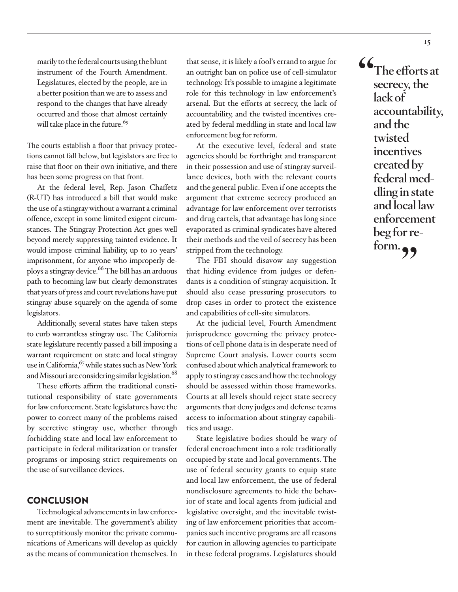marily to the federal courts using the blunt instrument of the Fourth Amendment. Legislatures, elected by the people, are in a better position than we are to assess and respond to the changes that have already occurred and those that almost certainly will take place in the future.<sup>65</sup>

The courts establish a floor that privacy protections cannot fall below, but legislators are free to raise that floor on their own initiative, and there has been some progress on that front.

At the federal level, Rep. Jason Chaffetz (R-UT) has introduced a bill that would make the use of a stingray without a warrant a criminal offence, except in some limited exigent circumstances. The Stingray Protection Act goes well beyond merely suppressing tainted evidence. It would impose criminal liability, up to 10 years' imprisonment, for anyone who improperly deploys a stingray device.<sup>66</sup> The bill has an arduous path to becoming law but clearly demonstrates that years of press and court revelations have put stingray abuse squarely on the agenda of some legislators.

Additionally, several states have taken steps to curb warrantless stingray use. The California state legislature recently passed a bill imposing a warrant requirement on state and local stingray use in California,  $67$  while states such as New York and Missouri are considering similar legislation.<sup>68</sup>

These efforts affirm the traditional constitutional responsibility of state governments for law enforcement. State legislatures have the power to correct many of the problems raised by secretive stingray use, whether through forbidding state and local law enforcement to participate in federal militarization or transfer programs or imposing strict requirements on the use of surveillance devices.

## **CONCLUSION**

Technological advancements in law enforcement are inevitable. The government's ability to surreptitiously monitor the private communications of Americans will develop as quickly as the means of communication themselves. In that sense, it is likely a fool's errand to argue for an outright ban on police use of cell-simulator technology. It's possible to imagine a legitimate role for this technology in law enforcement's arsenal. But the efforts at secrecy, the lack of accountability, and the twisted incentives created by federal meddling in state and local law enforcement beg for reform.

At the executive level, federal and state agencies should be forthright and transparent in their possession and use of stingray surveillance devices, both with the relevant courts and the general public. Even if one accepts the argument that extreme secrecy produced an advantage for law enforcement over terrorists and drug cartels, that advantage has long since evaporated as criminal syndicates have altered their methods and the veil of secrecy has been stripped from the technology.

The FBI should disavow any suggestion that hiding evidence from judges or defendants is a condition of stingray acquisition. It should also cease pressuring prosecutors to drop cases in order to protect the existence and capabilities of cell-site simulators.

At the judicial level, Fourth Amendment jurisprudence governing the privacy protections of cell phone data is in desperate need of Supreme Court analysis. Lower courts seem confused about which analytical framework to apply to stingray cases and how the technology should be assessed within those frameworks. Courts at all levels should reject state secrecy arguments that deny judges and defense teams access to information about stingray capabilities and usage.

State legislative bodies should be wary of federal encroachment into a role traditionally occupied by state and local governments. The use of federal security grants to equip state and local law enforcement, the use of federal nondisclosure agreements to hide the behavior of state and local agents from judicial and legislative oversight, and the inevitable twisting of law enforcement priorities that accompanies such incentive programs are all reasons for caution in allowing agencies to participate in these federal programs. Legislatures should

**"The efforts at secrecy, the lack of accountability, and the twisted incentives created by federal meddling in state and local law enforcement beg for reform."**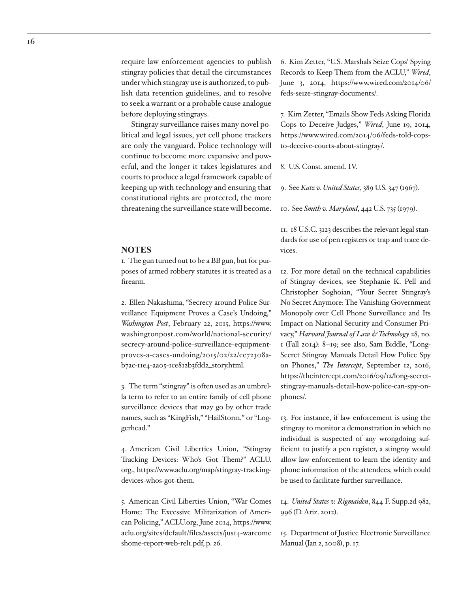require law enforcement agencies to publish stingray policies that detail the circumstances under which stingray use is authorized, to publish data retention guidelines, and to resolve to seek a warrant or a probable cause analogue before deploying stingrays.

Stingray surveillance raises many novel political and legal issues, yet cell phone trackers are only the vanguard. Police technology will continue to become more expansive and powerful, and the longer it takes legislatures and courts to produce a legal framework capable of keeping up with technology and ensuring that constitutional rights are protected, the more threatening the surveillance state will become.

#### **NOTES**

1. The gun turned out to be a BB gun, but for purposes of armed robbery statutes it is treated as a firearm.

2. Ellen Nakashima, "Secrecy around Police Surveillance Equipment Proves a Case's Undoing," *Washington Post*, February 22, 2015, https://www. washingtonpost.com/world/national-security/ secrecy-around-police-surveillance-equipmentproves-a-cases-undoing/2015/02/22/ce72308ab7ac-11e4-aa05-1ce812b3fdd2\_story.html.

3. The term "stingray" is often used as an umbrella term to refer to an entire family of cell phone surveillance devices that may go by other trade names, such as "KingFish," "HailStorm," or "Loggerhead."

4. American Civil Liberties Union, "Stingray Tracking Devices: Who's Got Them?" ACLU. org., https://www.aclu.org/map/stingray-trackingdevices-whos-got-them.

5. American Civil Liberties Union, "War Comes Home: The Excessive Militarization of American Policing," ACLU.org, June 2014, https://www. aclu.org/sites/default/files/assets/jus14-warcome shome-report-web-rel1.pdf, p. 26.

6. Kim Zetter, "U.S. Marshals Seize Cops' Spying Records to Keep Them from the ACLU," *Wired*, June 3, 2014, https://www.wired.com/2014/06/ feds-seize-stingray-documents/.

7. Kim Zetter, "Emails Show Feds Asking Florida Cops to Deceive Judges," *Wired*, June 19, 2014, https://www.wired.com/2014/06/feds-told-copsto-deceive-courts-about-stingray/.

8. U.S. Const. amend. IV.

9. See *Katz v. United States*, 389 U.S. 347 (1967).

10. See *Smith v. Maryland*, 442 U.S. 735 (1979).

11. 18 U.S.C. 3123 describes the relevant legal standards for use of pen registers or trap and trace devices.

12. For more detail on the technical capabilities of Stingray devices, see Stephanie K. Pell and Christopher Soghoian, "Your Secret Stingray's No Secret Anymore: The Vanishing Government Monopoly over Cell Phone Surveillance and Its Impact on National Security and Consumer Privacy," *Harvard Journal of Law & Technology* 28, no. 1 (Fall 2014): 8–19; see also, Sam Biddle, "Long-Secret Stingray Manuals Detail How Police Spy on Phones," *The Intercept*, September 12, 2016, https://theintercept.com/2016/09/12/long-secretstingray-manuals-detail-how-police-can-spy-onphones/.

13. For instance, if law enforcement is using the stingray to monitor a demonstration in which no individual is suspected of any wrongdoing sufficient to justify a pen register, a stingray would allow law enforcement to learn the identity and phone information of the attendees, which could be used to facilitate further surveillance.

14. *United States v. Rigmaiden*, 844 F. Supp.2d 982, 996 (D. Ariz. 2012).

15. Department of Justice Electronic Surveillance Manual (Jan 2, 2008), p. 17.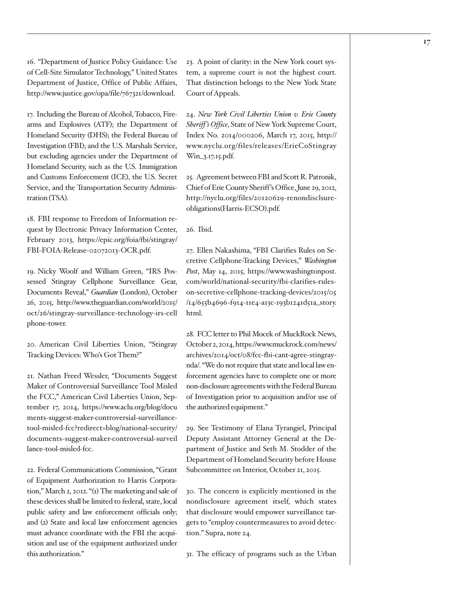16. "Department of Justice Policy Guidance: Use of Cell-Site Simulator Technology," United States Department of Justice, Office of Public Affairs, http://www.justice.gov/opa/file/767321/download.

17. Including the Bureau of Alcohol, Tobacco, Firearms and Explosives (ATF); the Department of Homeland Security (DHS); the Federal Bureau of Investigation (FBI); and the U.S. Marshals Service, but excluding agencies under the Department of Homeland Security, such as the U.S. Immigration and Customs Enforcement (ICE), the U.S. Secret Service, and the Transportation Security Administration (TSA).

18. FBI response to Freedom of Information request by Electronic Privacy Information Center, February 2013, https://epic.org/foia/fbi/stingray/ FBI-FOIA-Release-02072013-OCR.pdf.

19. Nicky Woolf and William Green, "IRS Possessed Stingray Cellphone Surveillance Gear, Documents Reveal," *Guardian* (London), October 26, 2015, http://www.theguardian.com/world/2015/ oct/26/stingray-surveillance-technology-irs-cell phone-tower.

20. American Civil Liberties Union, "Stingray Tracking Devices: Who's Got Them?"

21. Nathan Freed Wessler, "Documents Suggest Maker of Controversial Surveillance Tool Misled the FCC," American Civil Liberties Union, September 17, 2014, https://www.aclu.org/blog/docu ments-suggest-maker-controversial-surveillancetool-misled-fcc?redirect=blog/national-security/ documents-suggest-maker-controversial-surveil lance-tool-misled-fcc.

22. Federal Communications Commission, "Grant of Equipment Authorization to Harris Corporation," March 2, 2012. "(1) The marketing and sale of these devices shall be limited to federal, state, local public safety and law enforcement officials only; and (2) State and local law enforcement agencies must advance coordinate with the FBI the acquisition and use of the equipment authorized under this authorization."

23. A point of clarity: in the New York court system, a supreme court is not the highest court. That distinction belongs to the New York State Court of Appeals.

24. *New York Civil Liberties Union v. Erie County Sheriff 's Office*, State of New York Supreme Court, Index No. 2014/000206, March 17, 2015, http:// www.nyclu.org/files/releases/ErieCoStingray Win\_3.17.15.pdf.

25. Agreement between FBI and Scott R. Patronik, Chief of Erie County Sheriff's Office, June 29, 2012, http://nyclu.org/files/20120629-renondisclsureobligations(Harris-ECSO).pdf.

26. Ibid.

27. Ellen Nakashima, "FBI Clarifies Rules on Secretive Cellphone-Tracking Devices," *Washington Post*, May 14, 2015, https://www.washingtonpost. com/world/national-security/fbi-clarifies-ruleson-secretive-cellphone-tracking-devices/2015/05 /14/655b4696-f914-11e4-a13c-193b1241d51a\_story. html.

28. FCC letter to Phil Mocek of MuckRock News, October 2, 2014, https://www.muckrock.com/news/ archives/2014/oct/08/fcc-fbi-cant-agree-stingraynda/. "We do not require that state and local law enforcement agencies have to complete one or more non-disclosure agreements with the Federal Bureau of Investigation prior to acquisition and/or use of the authorized equipment."

29. See Testimony of Elana Tyrangiel, Principal Deputy Assistant Attorney General at the Department of Justice and Seth M. Stodder of the Department of Homeland Security before House Subcommittee on Interior, October 21, 2015.

30. The concern is explicitly mentioned in the nondisclosure agreement itself, which states that disclosure would empower surveillance targets to "employ countermeasures to avoid detection." Supra, note 24.

31. The efficacy of programs such as the Urban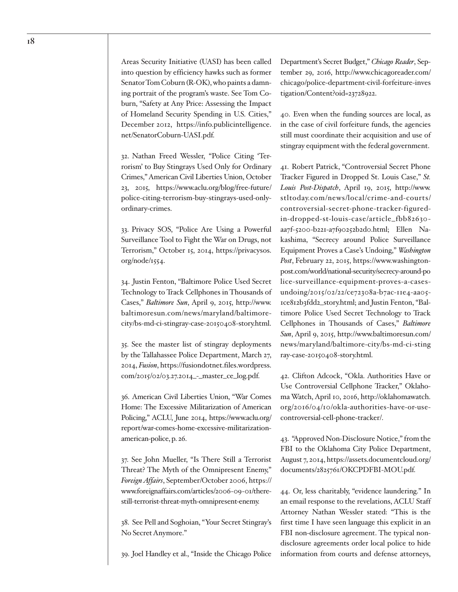Areas Security Initiative (UASI) has been called into question by efficiency hawks such as former Senator Tom Coburn (R-OK), who paints a damning portrait of the program's waste. See Tom Coburn, "Safety at Any Price: Assessing the Impact of Homeland Security Spending in U.S. Cities," December 2012, https://info.publicintelligence.

net/SenatorCoburn-UASI.pdf.

32. Nathan Freed Wessler, "Police Citing 'Terrorism' to Buy Stingrays Used Only for Ordinary Crimes," American Civil Liberties Union, October 23, 2015, https://www.aclu.org/blog/free-future/ police-citing-terrorism-buy-stingrays-used-onlyordinary-crimes.

33. Privacy SOS, "Police Are Using a Powerful Surveillance Tool to Fight the War on Drugs, not Terrorism," October 15, 2014, https://privacysos. org/node/1554.

34. Justin Fenton, "Baltimore Police Used Secret Technology to Track Cellphones in Thousands of Cases," *Baltimore Sun*, April 9, 2015, http://www. baltimoresun.com/news/maryland/baltimorecity/bs-md-ci-stingray-case-20150408-story.html.

35. See the master list of stingray deployments by the Tallahassee Police Department, March 27, 2014, *Fusion*, https://fusiondotnet.files.wordpress. com/2015/02/03.27.2014\_-\_master\_ce\_log.pdf.

36. American Civil Liberties Union, "War Comes Home: The Excessive Militarization of American Policing," ACLU, June 2014, https://www.aclu.org/ report/war-comes-home-excessive-militarizationamerican-police, p. 26.

37. See John Mueller, "Is There Still a Terrorist Threat? The Myth of the Omnipresent Enemy," *Foreign Affairs*, September/October 2006, https:// www.foreignaffairs.com/articles/2006-09-01/therestill-terrorist-threat-myth-omnipresent-enemy.

38. See Pell and Soghoian, "Your Secret Stingray's No Secret Anymore."

39. Joel Handley et al., "Inside the Chicago Police

Department's Secret Budget," *Chicago Reader*, September 29, 2016, http://www.chicagoreader.com/ chicago/police-department-civil-forfeiture-inves tigation/Content?oid=23728922.

40. Even when the funding sources are local, as in the case of civil forfeiture funds, the agencies still must coordinate their acquisition and use of stingray equipment with the federal government.

41. Robert Patrick, "Controversial Secret Phone Tracker Figured in Dropped St. Louis Case," *St. Louis Post-Dispatch*, April 19, 2015, http://www. stltoday.com/news/local/crime-and-courts/ controversial-secret-phone-tracker-figuredin-dropped-st-louis-case/article\_fbb82630 aa7f-5200-b221-a7f90252b2d0.html; Ellen Nakashima, "Secrecy around Police Surveillance Equipment Proves a Case's Undoing," *Washington Post*, February 22, 2015, https://www.washingtonpost.com/world/national-security/secrecy-around-po lice-surveillance-equipment-proves-a-casesundoing/2015/02/22/ce72308a-b7ac-11e4-aa05- 1ce812b3fdd2\_story.html; and Justin Fenton, "Baltimore Police Used Secret Technology to Track Cellphones in Thousands of Cases," *Baltimore Sun*, April 9, 2015, http://www.baltimoresun.com/ news/maryland/baltimore-city/bs-md-ci-sting ray-case-20150408-story.html.

42. Clifton Adcock, "Okla. Authorities Have or Use Controversial Cellphone Tracker," Oklahoma Watch, April 10, 2016, http://oklahomawatch. org/2016/04/10/okla-authorities-have-or-usecontroversial-cell-phone-tracker/.

43. "Approved Non-Disclosure Notice," from the FBI to the Oklahoma City Police Department, August 7, 2014, https://assets.documentcloud.org/ documents/2825761/OKCPDFBI-MOU.pdf.

44. Or, less charitably, "evidence laundering." In an email response to the revelations, ACLU Staff Attorney Nathan Wessler stated: "This is the first time I have seen language this explicit in an FBI non-disclosure agreement. The typical nondisclosure agreements order local police to hide information from courts and defense attorneys,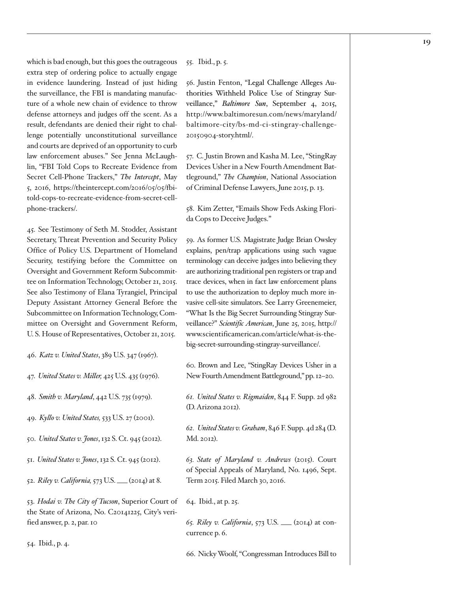which is bad enough, but this goes the outrageous extra step of ordering police to actually engage in evidence laundering. Instead of just hiding the surveillance, the FBI is mandating manufacture of a whole new chain of evidence to throw defense attorneys and judges off the scent. As a result, defendants are denied their right to challenge potentially unconstitutional surveillance and courts are deprived of an opportunity to curb law enforcement abuses." See Jenna McLaughlin, "FBI Told Cops to Recreate Evidence from Secret Cell-Phone Trackers," *The Intercept*, May 5, 2016, https://theintercept.com/2016/05/05/fbitold-cops-to-recreate-evidence-from-secret-cellphone-trackers/.

45. See Testimony of Seth M. Stodder, Assistant Secretary, Threat Prevention and Security Policy Office of Policy U.S. Department of Homeland Security, testifying before the Committee on Oversight and Government Reform Subcommittee on Information Technology, October 21, 2015. See also Testimony of Elana Tyrangiel, Principal Deputy Assistant Attorney General Before the Subcommittee on Information Technology, Committee on Oversight and Government Reform, U. S. House of Representatives, October 21, 2015.

- 46. *Katz v. United States*, 389 U.S. 347 (1967).
- 47. *United States v. Miller,* 425 U.S. 435 (1976).
- 48. *Smith v. Maryland*, 442 U.S. 735 (1979).
- 49. *Kyllo v. United States,* 533 U.S. 27 (2001).
- 50. *United States v. Jones*, 132 S. Ct. 945 (2012).
- 51. *United States v. Jones*, 132 S. Ct. 945 (2012).
- 52. *Riley v. California,* 573 U.S. \_\_\_ (2014) at 8.

53. *Hodai v. The City of Tucson*, Superior Court of the State of Arizona, No. C20141225, City's verified answer, p. 2, par. 10

54. Ibid., p. 4.

55. Ibid., p. 5.

56. Justin Fenton, "Legal Challenge Alleges Authorities Withheld Police Use of Stingray Surveillance," *Baltimore Sun*, September 4, 2015, http://www.baltimoresun.com/news/maryland/ baltimore-city/bs-md-ci-stingray-challenge-20150904-story.html/.

57. C. Justin Brown and Kasha M. Lee, "StingRay Devices Usher in a New Fourth Amendment Battleground," *The Champion*, National Association of Criminal Defense Lawyers, June 2015, p. 13.

58. Kim Zetter, "Emails Show Feds Asking Florida Cops to Deceive Judges."

59. As former U.S. Magistrate Judge Brian Owsley explains, pen/trap applications using such vague terminology can deceive judges into believing they are authorizing traditional pen registers or trap and trace devices, when in fact law enforcement plans to use the authorization to deploy much more invasive cell-site simulators. See Larry Greenemeier, "What Is the Big Secret Surrounding Stingray Surveillance?" *Scientific American*, June 25, 2015, http:// www.scientificamerican.com/article/what-is-thebig-secret-surrounding-stingray-surveillance/.

60. Brown and Lee, "StingRay Devices Usher in a New Fourth Amendment Battleground," pp. 12–20.

*61. United States v. Rigmaiden*, 844 F. Supp. 2d 982 (D. Arizona 2012).

*62. United States v. Graham*, 846 F. Supp. 4d 284 (D. Md. 2012).

*63. State of Maryland v. Andrews* (2015). Court of Special Appeals of Maryland, No. 1496, Sept. Term 2015. Filed March 30, 2016.

#### 64. Ibid., at p. 25.

*65. Riley v. California*, 573 U.S. \_\_\_ (2014) at concurrence p. 6.

66. Nicky Woolf, "Congressman Introduces Bill to